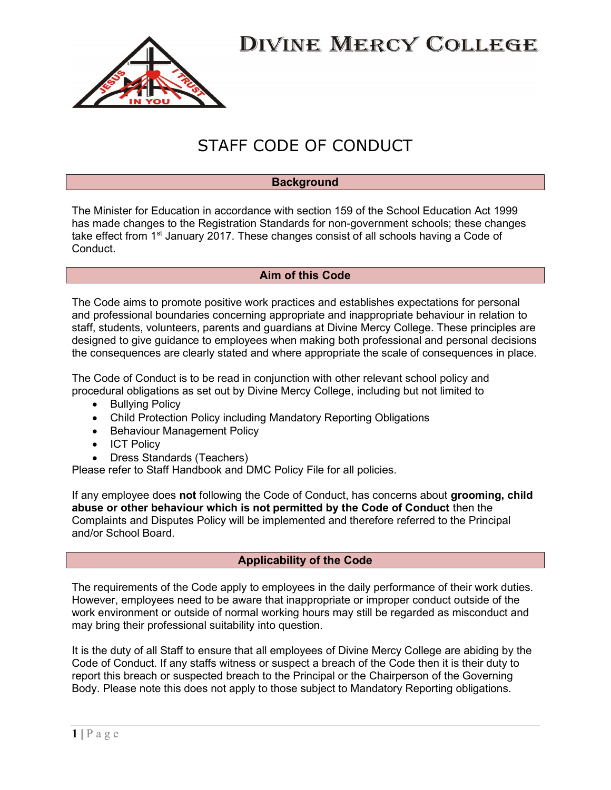

### STAFF CODE OF CONDUCT

#### **Background**

The Minister for Education in accordance with section 159 of the School Education Act 1999 has made changes to the Registration Standards for non-government schools; these changes take effect from  $1<sup>st</sup>$  January 2017. These changes consist of all schools having a Code of **Conduct** 

### Aim of this Code

The Code aims to promote positive work practices and establishes expectations for personal and professional boundaries concerning appropriate and inappropriate behaviour in relation to staff, students, volunteers, parents and guardians at Divine Mercy College. These principles are designed to give guidance to employees when making both professional and personal decisions the consequences are clearly stated and where appropriate the scale of consequences in place.

The Code of Conduct is to be read in conjunction with other relevant school policy and procedural obligations as set out by Divine Mercy College, including but not limited to

- Bullying Policy
- Child Protection Policy including Mandatory Reporting Obligations
- Behaviour Management Policy
- ICT Policy
- Dress Standards (Teachers)

Please refer to Staff Handbook and DMC Policy File for all policies.

If any employee does not following the Code of Conduct, has concerns about grooming, child abuse or other behaviour which is not permitted by the Code of Conduct then the Complaints and Disputes Policy will be implemented and therefore referred to the Principal and/or School Board.

### Applicability of the Code

The requirements of the Code apply to employees in the daily performance of their work duties. However, employees need to be aware that inappropriate or improper conduct outside of the work environment or outside of normal working hours may still be regarded as misconduct and may bring their professional suitability into question.

It is the duty of all Staff to ensure that all employees of Divine Mercy College are abiding by the Code of Conduct. If any staffs witness or suspect a breach of the Code then it is their duty to report this breach or suspected breach to the Principal or the Chairperson of the Governing Body. Please note this does not apply to those subject to Mandatory Reporting obligations.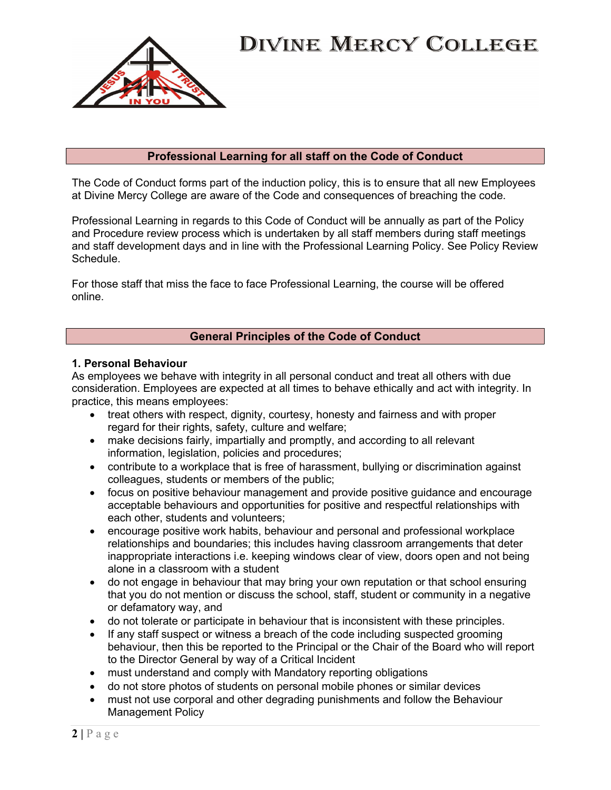

### Professional Learning for all staff on the Code of Conduct

The Code of Conduct forms part of the induction policy, this is to ensure that all new Employees at Divine Mercy College are aware of the Code and consequences of breaching the code.

Professional Learning in regards to this Code of Conduct will be annually as part of the Policy and Procedure review process which is undertaken by all staff members during staff meetings and staff development days and in line with the Professional Learning Policy. See Policy Review Schedule.

For those staff that miss the face to face Professional Learning, the course will be offered online.

### General Principles of the Code of Conduct

#### 1. Personal Behaviour

As employees we behave with integrity in all personal conduct and treat all others with due consideration. Employees are expected at all times to behave ethically and act with integrity. In practice, this means employees:

- treat others with respect, dignity, courtesy, honesty and fairness and with proper regard for their rights, safety, culture and welfare;
- make decisions fairly, impartially and promptly, and according to all relevant information, legislation, policies and procedures;
- contribute to a workplace that is free of harassment, bullying or discrimination against colleagues, students or members of the public;
- focus on positive behaviour management and provide positive guidance and encourage acceptable behaviours and opportunities for positive and respectful relationships with each other, students and volunteers;
- encourage positive work habits, behaviour and personal and professional workplace relationships and boundaries; this includes having classroom arrangements that deter inappropriate interactions i.e. keeping windows clear of view, doors open and not being alone in a classroom with a student
- do not engage in behaviour that may bring your own reputation or that school ensuring that you do not mention or discuss the school, staff, student or community in a negative or defamatory way, and
- do not tolerate or participate in behaviour that is inconsistent with these principles.
- If any staff suspect or witness a breach of the code including suspected grooming behaviour, then this be reported to the Principal or the Chair of the Board who will report to the Director General by way of a Critical Incident
- must understand and comply with Mandatory reporting obligations
- do not store photos of students on personal mobile phones or similar devices
- must not use corporal and other degrading punishments and follow the Behaviour Management Policy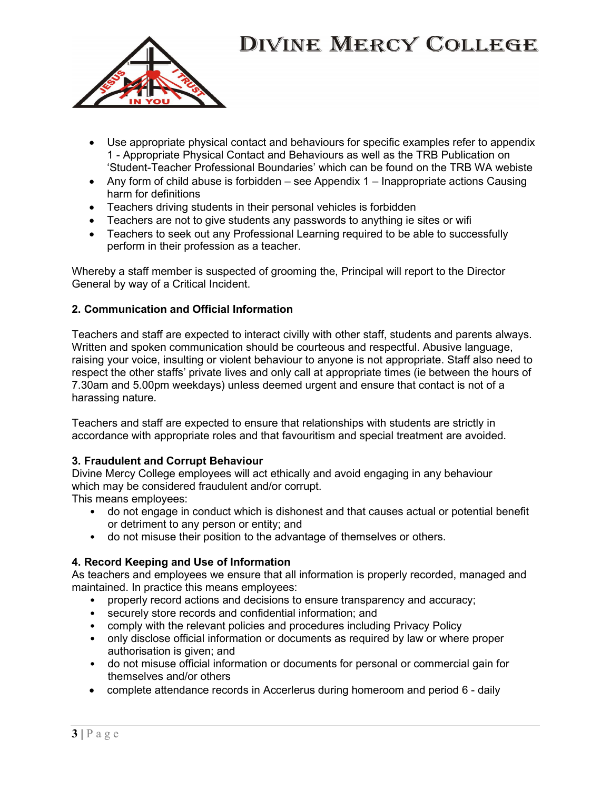

- Use appropriate physical contact and behaviours for specific examples refer to appendix 1 - Appropriate Physical Contact and Behaviours as well as the TRB Publication on 'Student-Teacher Professional Boundaries' which can be found on the TRB WA webiste
- Any form of child abuse is forbidden  $-$  see Appendix 1  $-$  Inappropriate actions Causing harm for definitions
- Teachers driving students in their personal vehicles is forbidden
- Teachers are not to give students any passwords to anything ie sites or wifi
- Teachers to seek out any Professional Learning required to be able to successfully perform in their profession as a teacher.

Whereby a staff member is suspected of grooming the, Principal will report to the Director General by way of a Critical Incident.

### 2. Communication and Official Information

Teachers and staff are expected to interact civilly with other staff, students and parents always. Written and spoken communication should be courteous and respectful. Abusive language, raising your voice, insulting or violent behaviour to anyone is not appropriate. Staff also need to respect the other staffs' private lives and only call at appropriate times (ie between the hours of 7.30am and 5.00pm weekdays) unless deemed urgent and ensure that contact is not of a harassing nature.

Teachers and staff are expected to ensure that relationships with students are strictly in accordance with appropriate roles and that favouritism and special treatment are avoided.

### 3. Fraudulent and Corrupt Behaviour

Divine Mercy College employees will act ethically and avoid engaging in any behaviour which may be considered fraudulent and/or corrupt.

This means employees:

- do not engage in conduct which is dishonest and that causes actual or potential benefit or detriment to any person or entity; and
- do not misuse their position to the advantage of themselves or others.

### 4. Record Keeping and Use of Information

As teachers and employees we ensure that all information is properly recorded, managed and maintained. In practice this means employees:

- properly record actions and decisions to ensure transparency and accuracy;
- securely store records and confidential information; and
- comply with the relevant policies and procedures including Privacy Policy
- only disclose official information or documents as required by law or where proper authorisation is given; and
- do not misuse official information or documents for personal or commercial gain for themselves and/or others
- complete attendance records in Accerlerus during homeroom and period 6 daily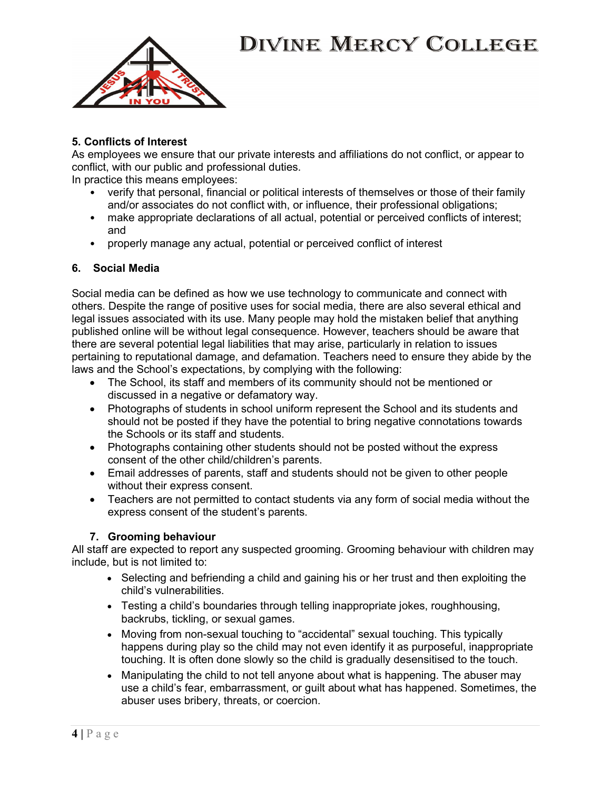

### 5. Conflicts of Interest

As employees we ensure that our private interests and affiliations do not conflict, or appear to conflict, with our public and professional duties.

In practice this means employees:

- verify that personal, financial or political interests of themselves or those of their family and/or associates do not conflict with, or influence, their professional obligations;
- make appropriate declarations of all actual, potential or perceived conflicts of interest; and
- properly manage any actual, potential or perceived conflict of interest

### 6. Social Media

Social media can be defined as how we use technology to communicate and connect with others. Despite the range of positive uses for social media, there are also several ethical and legal issues associated with its use. Many people may hold the mistaken belief that anything published online will be without legal consequence. However, teachers should be aware that there are several potential legal liabilities that may arise, particularly in relation to issues pertaining to reputational damage, and defamation. Teachers need to ensure they abide by the laws and the School's expectations, by complying with the following:

- The School, its staff and members of its community should not be mentioned or discussed in a negative or defamatory way.
- Photographs of students in school uniform represent the School and its students and should not be posted if they have the potential to bring negative connotations towards the Schools or its staff and students.
- Photographs containing other students should not be posted without the express consent of the other child/children's parents.
- Email addresses of parents, staff and students should not be given to other people without their express consent.
- Teachers are not permitted to contact students via any form of social media without the express consent of the student's parents.

### 7. Grooming behaviour

All staff are expected to report any suspected grooming. Grooming behaviour with children may include, but is not limited to:

- Selecting and befriending a child and gaining his or her trust and then exploiting the child's vulnerabilities.
- Testing a child's boundaries through telling inappropriate jokes, roughhousing, backrubs, tickling, or sexual games.
- Moving from non-sexual touching to "accidental" sexual touching. This typically happens during play so the child may not even identify it as purposeful, inappropriate touching. It is often done slowly so the child is gradually desensitised to the touch.
- Manipulating the child to not tell anyone about what is happening. The abuser may use a child's fear, embarrassment, or guilt about what has happened. Sometimes, the abuser uses bribery, threats, or coercion.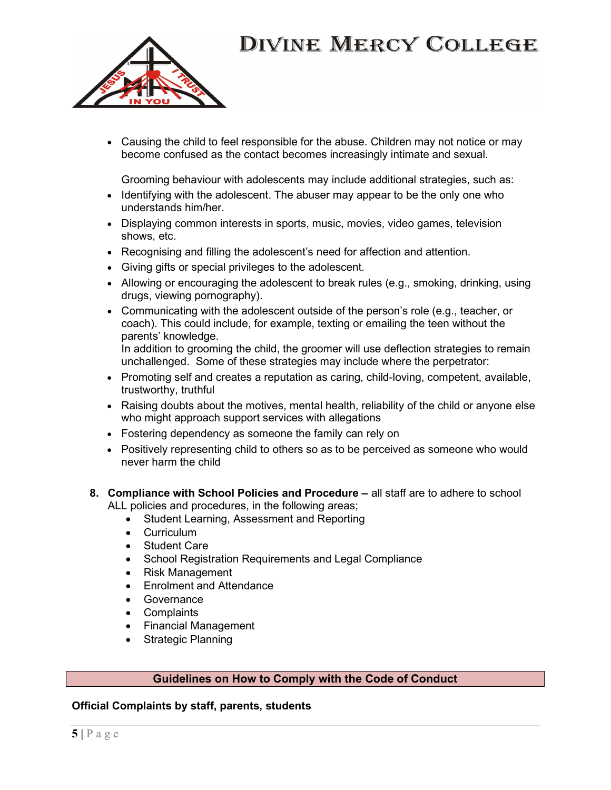

 Causing the child to feel responsible for the abuse. Children may not notice or may become confused as the contact becomes increasingly intimate and sexual.

Grooming behaviour with adolescents may include additional strategies, such as:

- Identifying with the adolescent. The abuser may appear to be the only one who understands him/her.
- Displaying common interests in sports, music, movies, video games, television shows, etc.
- Recognising and filling the adolescent's need for affection and attention.
- Giving gifts or special privileges to the adolescent.
- Allowing or encouraging the adolescent to break rules (e.g., smoking, drinking, using drugs, viewing pornography).
- Communicating with the adolescent outside of the person's role (e.g., teacher, or coach). This could include, for example, texting or emailing the teen without the parents' knowledge. In addition to grooming the child, the groomer will use deflection strategies to remain

unchallenged. Some of these strategies may include where the perpetrator:

- Promoting self and creates a reputation as caring, child-loving, competent, available, trustworthy, truthful
- Raising doubts about the motives, mental health, reliability of the child or anyone else who might approach support services with allegations
- Fostering dependency as someone the family can rely on
- Positively representing child to others so as to be perceived as someone who would never harm the child
- 8. Compliance with School Policies and Procedure all staff are to adhere to school ALL policies and procedures, in the following areas;
	- Student Learning, Assessment and Reporting
	- Curriculum
	- Student Care
	- School Registration Requirements and Legal Compliance
	- Risk Management
	- Enrolment and Attendance
	- Governance
	- Complaints
	- Financial Management
	- Strategic Planning

### Guidelines on How to Comply with the Code of Conduct

### Official Complaints by staff, parents, students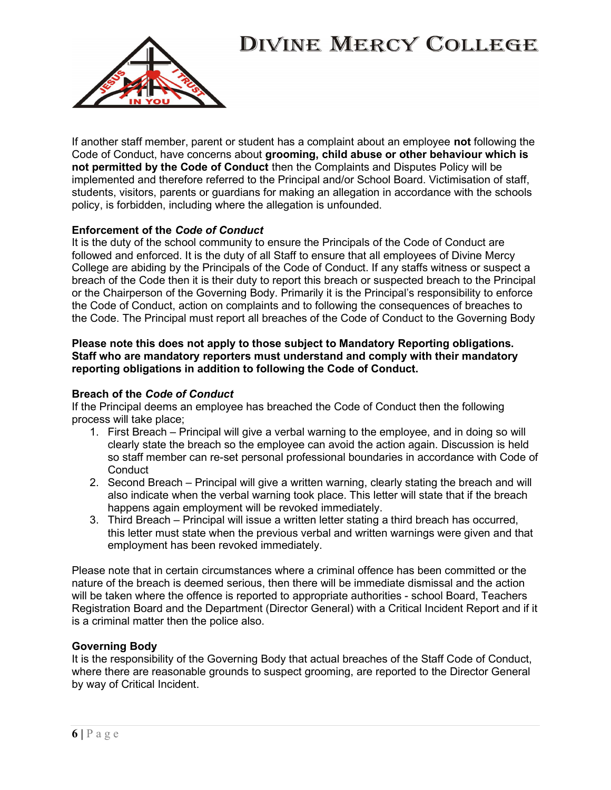

If another staff member, parent or student has a complaint about an employee not following the Code of Conduct, have concerns about grooming, child abuse or other behaviour which is not permitted by the Code of Conduct then the Complaints and Disputes Policy will be implemented and therefore referred to the Principal and/or School Board. Victimisation of staff, students, visitors, parents or guardians for making an allegation in accordance with the schools policy, is forbidden, including where the allegation is unfounded.

#### Enforcement of the Code of Conduct

It is the duty of the school community to ensure the Principals of the Code of Conduct are followed and enforced. It is the duty of all Staff to ensure that all employees of Divine Mercy College are abiding by the Principals of the Code of Conduct. If any staffs witness or suspect a breach of the Code then it is their duty to report this breach or suspected breach to the Principal or the Chairperson of the Governing Body. Primarily it is the Principal's responsibility to enforce the Code of Conduct, action on complaints and to following the consequences of breaches to the Code. The Principal must report all breaches of the Code of Conduct to the Governing Body

#### Please note this does not apply to those subject to Mandatory Reporting obligations. Staff who are mandatory reporters must understand and comply with their mandatory reporting obligations in addition to following the Code of Conduct.

#### Breach of the Code of Conduct

If the Principal deems an employee has breached the Code of Conduct then the following process will take place;

- 1. First Breach Principal will give a verbal warning to the employee, and in doing so will clearly state the breach so the employee can avoid the action again. Discussion is held so staff member can re-set personal professional boundaries in accordance with Code of **Conduct**
- 2. Second Breach Principal will give a written warning, clearly stating the breach and will also indicate when the verbal warning took place. This letter will state that if the breach happens again employment will be revoked immediately.
- 3. Third Breach Principal will issue a written letter stating a third breach has occurred, this letter must state when the previous verbal and written warnings were given and that employment has been revoked immediately.

Please note that in certain circumstances where a criminal offence has been committed or the nature of the breach is deemed serious, then there will be immediate dismissal and the action will be taken where the offence is reported to appropriate authorities - school Board, Teachers Registration Board and the Department (Director General) with a Critical Incident Report and if it is a criminal matter then the police also.

#### Governing Body

It is the responsibility of the Governing Body that actual breaches of the Staff Code of Conduct, where there are reasonable grounds to suspect grooming, are reported to the Director General by way of Critical Incident.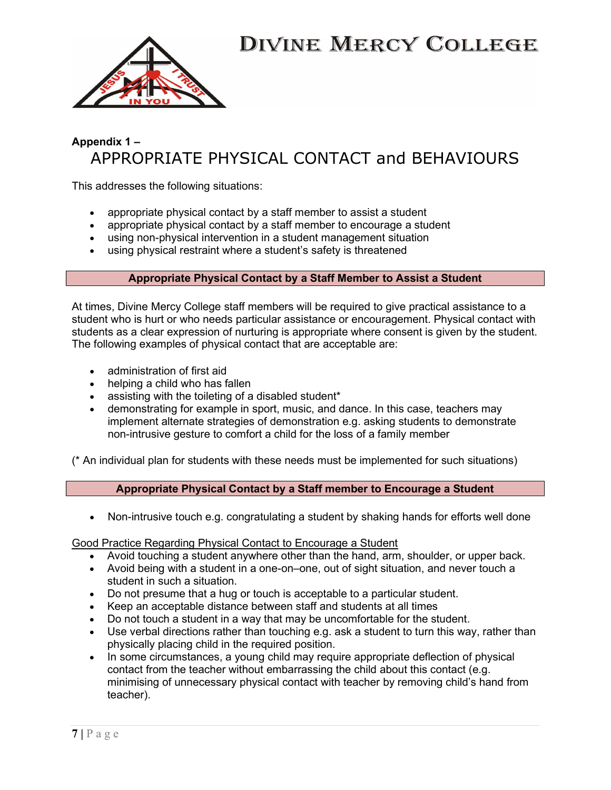

### Appendix 1 – APPROPRIATE PHYSICAL CONTACT and BEHAVIOURS

This addresses the following situations:

- appropriate physical contact by a staff member to assist a student
- appropriate physical contact by a staff member to encourage a student
- using non-physical intervention in a student management situation
- using physical restraint where a student's safety is threatened

### Appropriate Physical Contact by a Staff Member to Assist a Student

At times, Divine Mercy College staff members will be required to give practical assistance to a student who is hurt or who needs particular assistance or encouragement. Physical contact with students as a clear expression of nurturing is appropriate where consent is given by the student. The following examples of physical contact that are acceptable are:

- administration of first aid
- helping a child who has fallen
- assisting with the toileting of a disabled student\*
- demonstrating for example in sport, music, and dance. In this case, teachers may implement alternate strategies of demonstration e.g. asking students to demonstrate non-intrusive gesture to comfort a child for the loss of a family member

(\* An individual plan for students with these needs must be implemented for such situations)

### Appropriate Physical Contact by a Staff member to Encourage a Student

Non-intrusive touch e.g. congratulating a student by shaking hands for efforts well done

Good Practice Regarding Physical Contact to Encourage a Student

- Avoid touching a student anywhere other than the hand, arm, shoulder, or upper back.
- Avoid being with a student in a one-on–one, out of sight situation, and never touch a student in such a situation.
- Do not presume that a hug or touch is acceptable to a particular student.
- Keep an acceptable distance between staff and students at all times
- Do not touch a student in a way that may be uncomfortable for the student.
- Use verbal directions rather than touching e.g. ask a student to turn this way, rather than physically placing child in the required position.
- In some circumstances, a young child may require appropriate deflection of physical contact from the teacher without embarrassing the child about this contact (e.g. minimising of unnecessary physical contact with teacher by removing child's hand from teacher).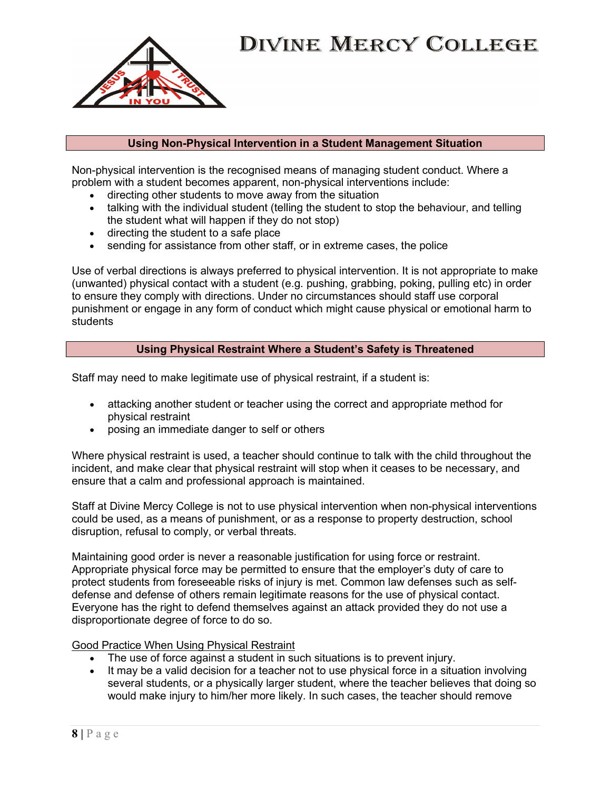

#### Using Non-Physical Intervention in a Student Management Situation

Non-physical intervention is the recognised means of managing student conduct. Where a problem with a student becomes apparent, non-physical interventions include:

- directing other students to move away from the situation
- talking with the individual student (telling the student to stop the behaviour, and telling the student what will happen if they do not stop)
- directing the student to a safe place
- sending for assistance from other staff, or in extreme cases, the police

Use of verbal directions is always preferred to physical intervention. It is not appropriate to make (unwanted) physical contact with a student (e.g. pushing, grabbing, poking, pulling etc) in order to ensure they comply with directions. Under no circumstances should staff use corporal punishment or engage in any form of conduct which might cause physical or emotional harm to students

### Using Physical Restraint Where a Student's Safety is Threatened

Staff may need to make legitimate use of physical restraint, if a student is:

- attacking another student or teacher using the correct and appropriate method for physical restraint
- posing an immediate danger to self or others

Where physical restraint is used, a teacher should continue to talk with the child throughout the incident, and make clear that physical restraint will stop when it ceases to be necessary, and ensure that a calm and professional approach is maintained.

Staff at Divine Mercy College is not to use physical intervention when non-physical interventions could be used, as a means of punishment, or as a response to property destruction, school disruption, refusal to comply, or verbal threats.

Maintaining good order is never a reasonable justification for using force or restraint. Appropriate physical force may be permitted to ensure that the employer's duty of care to protect students from foreseeable risks of injury is met. Common law defenses such as selfdefense and defense of others remain legitimate reasons for the use of physical contact. Everyone has the right to defend themselves against an attack provided they do not use a disproportionate degree of force to do so.

Good Practice When Using Physical Restraint

- The use of force against a student in such situations is to prevent injury.
- It may be a valid decision for a teacher not to use physical force in a situation involving several students, or a physically larger student, where the teacher believes that doing so would make injury to him/her more likely. In such cases, the teacher should remove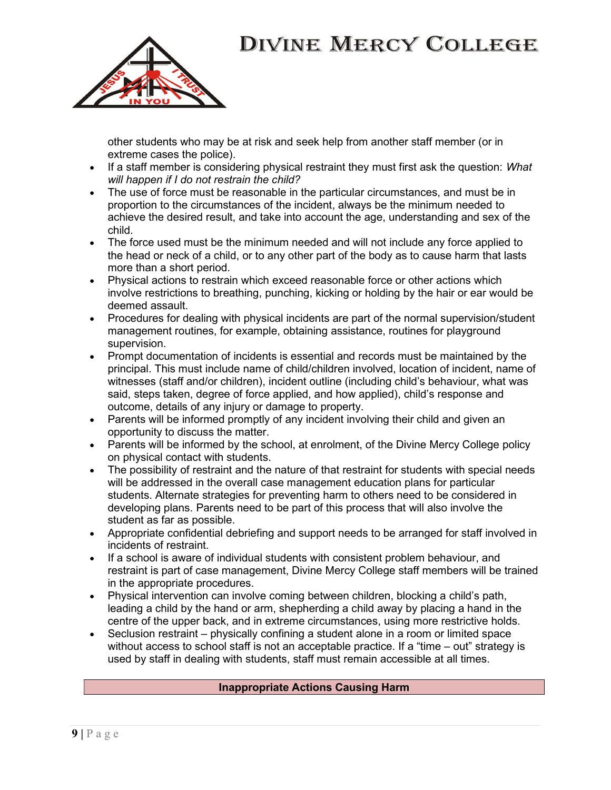

other students who may be at risk and seek help from another staff member (or in extreme cases the police).

- If a staff member is considering physical restraint they must first ask the question: What will happen if I do not restrain the child?
- The use of force must be reasonable in the particular circumstances, and must be in proportion to the circumstances of the incident, always be the minimum needed to achieve the desired result, and take into account the age, understanding and sex of the child.
- The force used must be the minimum needed and will not include any force applied to the head or neck of a child, or to any other part of the body as to cause harm that lasts more than a short period.
- Physical actions to restrain which exceed reasonable force or other actions which involve restrictions to breathing, punching, kicking or holding by the hair or ear would be deemed assault.
- Procedures for dealing with physical incidents are part of the normal supervision/student management routines, for example, obtaining assistance, routines for playground supervision.
- Prompt documentation of incidents is essential and records must be maintained by the principal. This must include name of child/children involved, location of incident, name of witnesses (staff and/or children), incident outline (including child's behaviour, what was said, steps taken, degree of force applied, and how applied), child's response and outcome, details of any injury or damage to property.
- Parents will be informed promptly of any incident involving their child and given an opportunity to discuss the matter.
- Parents will be informed by the school, at enrolment, of the Divine Mercy College policy on physical contact with students.
- The possibility of restraint and the nature of that restraint for students with special needs will be addressed in the overall case management education plans for particular students. Alternate strategies for preventing harm to others need to be considered in developing plans. Parents need to be part of this process that will also involve the student as far as possible.
- Appropriate confidential debriefing and support needs to be arranged for staff involved in incidents of restraint.
- If a school is aware of individual students with consistent problem behaviour, and restraint is part of case management, Divine Mercy College staff members will be trained in the appropriate procedures.
- Physical intervention can involve coming between children, blocking a child's path, leading a child by the hand or arm, shepherding a child away by placing a hand in the centre of the upper back, and in extreme circumstances, using more restrictive holds.
- Seclusion restraint physically confining a student alone in a room or limited space without access to school staff is not an acceptable practice. If a "time – out" strategy is used by staff in dealing with students, staff must remain accessible at all times.

### Inappropriate Actions Causing Harm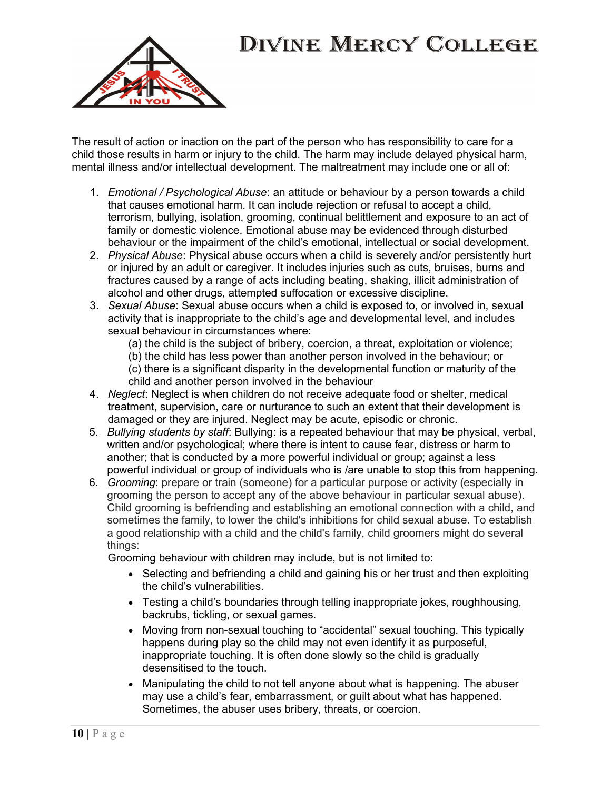

The result of action or inaction on the part of the person who has responsibility to care for a child those results in harm or injury to the child. The harm may include delayed physical harm, mental illness and/or intellectual development. The maltreatment may include one or all of:

- 1. Emotional / Psychological Abuse: an attitude or behaviour by a person towards a child that causes emotional harm. It can include rejection or refusal to accept a child, terrorism, bullying, isolation, grooming, continual belittlement and exposure to an act of family or domestic violence. Emotional abuse may be evidenced through disturbed behaviour or the impairment of the child's emotional, intellectual or social development.
- 2. Physical Abuse: Physical abuse occurs when a child is severely and/or persistently hurt or injured by an adult or caregiver. It includes injuries such as cuts, bruises, burns and fractures caused by a range of acts including beating, shaking, illicit administration of alcohol and other drugs, attempted suffocation or excessive discipline.
- 3. Sexual Abuse: Sexual abuse occurs when a child is exposed to, or involved in, sexual activity that is inappropriate to the child's age and developmental level, and includes sexual behaviour in circumstances where:
	- (a) the child is the subject of bribery, coercion, a threat, exploitation or violence;

(b) the child has less power than another person involved in the behaviour; or

- (c) there is a significant disparity in the developmental function or maturity of the child and another person involved in the behaviour
- 4. Neglect: Neglect is when children do not receive adequate food or shelter, medical treatment, supervision, care or nurturance to such an extent that their development is damaged or they are injured. Neglect may be acute, episodic or chronic.
- 5. Bullying students by staff: Bullying: is a repeated behaviour that may be physical, verbal, written and/or psychological; where there is intent to cause fear, distress or harm to another; that is conducted by a more powerful individual or group; against a less powerful individual or group of individuals who is /are unable to stop this from happening.
- 6. Grooming: prepare or train (someone) for a particular purpose or activity (especially in grooming the person to accept any of the above behaviour in particular sexual abuse). Child grooming is befriending and establishing an emotional connection with a child, and sometimes the family, to lower the child's inhibitions for child sexual abuse. To establish a good relationship with a child and the child's family, child groomers might do several things:

Grooming behaviour with children may include, but is not limited to:

- Selecting and befriending a child and gaining his or her trust and then exploiting the child's vulnerabilities.
- Testing a child's boundaries through telling inappropriate jokes, roughhousing, backrubs, tickling, or sexual games.
- Moving from non-sexual touching to "accidental" sexual touching. This typically happens during play so the child may not even identify it as purposeful, inappropriate touching. It is often done slowly so the child is gradually desensitised to the touch.
- Manipulating the child to not tell anyone about what is happening. The abuser may use a child's fear, embarrassment, or guilt about what has happened. Sometimes, the abuser uses bribery, threats, or coercion.